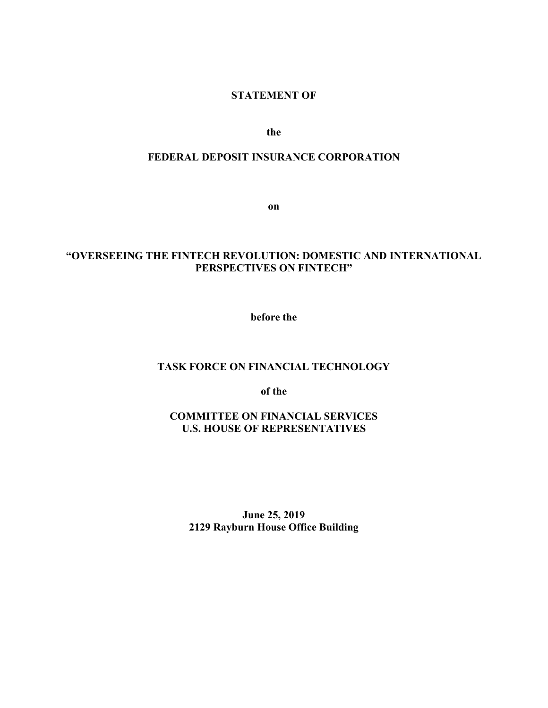## **STATEMENT OF**

**the**

## **FEDERAL DEPOSIT INSURANCE CORPORATION**

**on** 

# **"OVERSEEING THE FINTECH REVOLUTION: DOMESTIC AND INTERNATIONAL PERSPECTIVES ON FINTECH"**

**before the** 

### **TASK FORCE ON FINANCIAL TECHNOLOGY**

**of the**

**COMMITTEE ON FINANCIAL SERVICES U.S. HOUSE OF REPRESENTATIVES**

**June 25, 2019 2129 Rayburn House Office Building**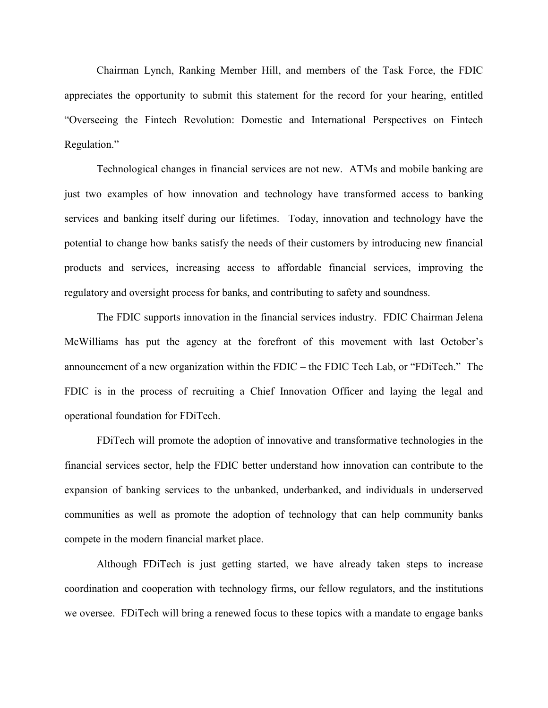Chairman Lynch, Ranking Member Hill, and members of the Task Force, the FDIC appreciates the opportunity to submit this statement for the record for your hearing, entitled "Overseeing the Fintech Revolution: Domestic and International Perspectives on Fintech Regulation."

Technological changes in financial services are not new. ATMs and mobile banking are just two examples of how innovation and technology have transformed access to banking services and banking itself during our lifetimes. Today, innovation and technology have the potential to change how banks satisfy the needs of their customers by introducing new financial products and services, increasing access to affordable financial services, improving the regulatory and oversight process for banks, and contributing to safety and soundness.

The FDIC supports innovation in the financial services industry. FDIC Chairman Jelena McWilliams has put the agency at the forefront of this movement with last October's announcement of a new organization within the FDIC – the FDIC Tech Lab, or "FDiTech." The FDIC is in the process of recruiting a Chief Innovation Officer and laying the legal and operational foundation for FDiTech.

FDiTech will promote the adoption of innovative and transformative technologies in the financial services sector, help the FDIC better understand how innovation can contribute to the expansion of banking services to the unbanked, underbanked, and individuals in underserved communities as well as promote the adoption of technology that can help community banks compete in the modern financial market place.

Although FDiTech is just getting started, we have already taken steps to increase coordination and cooperation with technology firms, our fellow regulators, and the institutions we oversee. FDiTech will bring a renewed focus to these topics with a mandate to engage banks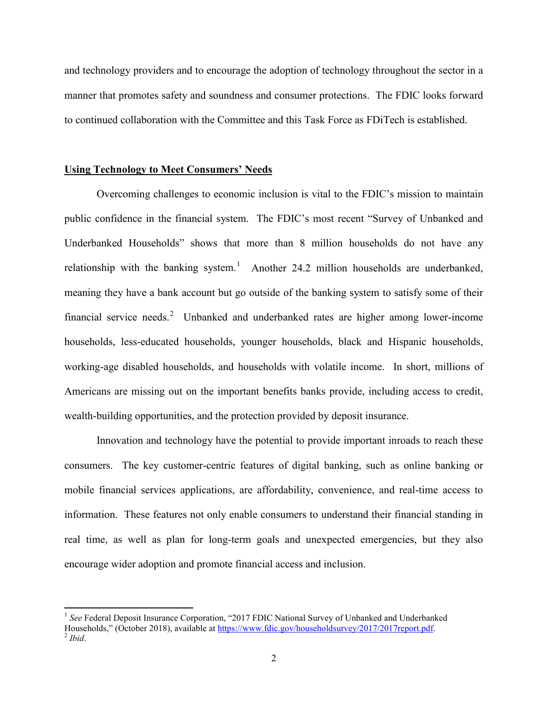and technology providers and to encourage the adoption of technology throughout the sector in a manner that promotes safety and soundness and consumer protections. The FDIC looks forward to continued collaboration with the Committee and this Task Force as FDiTech is established.

#### **Using Technology to Meet Consumers' Needs**

Overcoming challenges to economic inclusion is vital to the FDIC's mission to maintain public confidence in the financial system. The FDIC's most recent "Survey of Unbanked and Underbanked Households" shows that more than 8 million households do not have any relationship with the banking system.<sup>[1](#page-2-0)</sup> Another 24.2 million households are underbanked, meaning they have a bank account but go outside of the banking system to satisfy some of their financial service needs.[2](#page-2-1) Unbanked and underbanked rates are higher among lower-income households, less-educated households, younger households, black and Hispanic households, working-age disabled households, and households with volatile income. In short, millions of Americans are missing out on the important benefits banks provide, including access to credit, wealth-building opportunities, and the protection provided by deposit insurance.

Innovation and technology have the potential to provide important inroads to reach these consumers. The key customer-centric features of digital banking, such as online banking or mobile financial services applications, are affordability, convenience, and real-time access to information. These features not only enable consumers to understand their financial standing in real time, as well as plan for long-term goals and unexpected emergencies, but they also encourage wider adoption and promote financial access and inclusion.

<span id="page-2-1"></span><span id="page-2-0"></span><sup>&</sup>lt;sup>1</sup> See Federal Deposit Insurance Corporation, "2017 FDIC National Survey of Unbanked and Underbanked Households," (October 2018), available at [https://www.fdic.gov/householdsurvey/2017/2017report.pdf.](https://www.fdic.gov/householdsurvey/2017/2017report.pdf) <sup>2</sup> *Ibid.*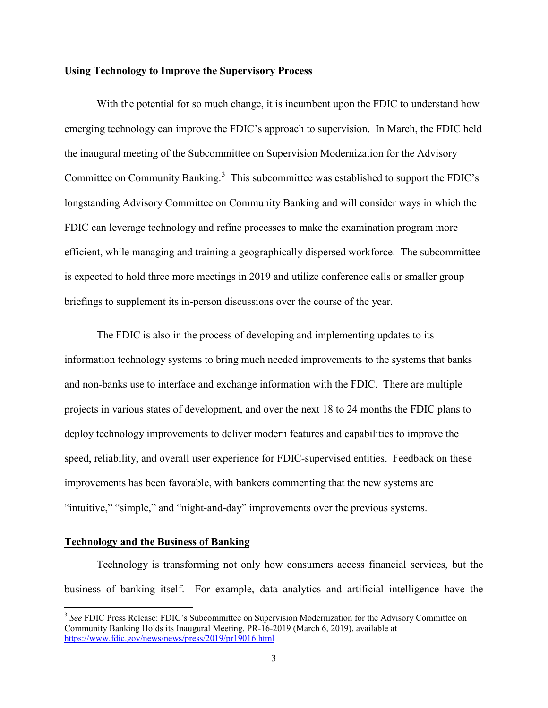#### **Using Technology to Improve the Supervisory Process**

With the potential for so much change, it is incumbent upon the FDIC to understand how emerging technology can improve the FDIC's approach to supervision. In March, the FDIC held the inaugural meeting of the Subcommittee on Supervision Modernization for the Advisory Committee on Community Banking. $3$  This subcommittee was established to support the FDIC's longstanding Advisory Committee on Community Banking and will consider ways in which the FDIC can leverage technology and refine processes to make the examination program more efficient, while managing and training a geographically dispersed workforce. The subcommittee is expected to hold three more meetings in 2019 and utilize conference calls or smaller group briefings to supplement its in-person discussions over the course of the year.

The FDIC is also in the process of developing and implementing updates to its information technology systems to bring much needed improvements to the systems that banks and non-banks use to interface and exchange information with the FDIC. There are multiple projects in various states of development, and over the next 18 to 24 months the FDIC plans to deploy technology improvements to deliver modern features and capabilities to improve the speed, reliability, and overall user experience for FDIC-supervised entities. Feedback on these improvements has been favorable, with bankers commenting that the new systems are "intuitive," "simple," and "night-and-day" improvements over the previous systems.

# **Technology and the Business of Banking**

Technology is transforming not only how consumers access financial services, but the business of banking itself. For example, data analytics and artificial intelligence have the

<span id="page-3-0"></span><sup>&</sup>lt;sup>3</sup> See FDIC Press Release: FDIC's Subcommittee on Supervision Modernization for the Advisory Committee on Community Banking Holds its Inaugural Meeting, PR-16-2019 (March 6, 2019), available at <https://www.fdic.gov/news/news/press/2019/pr19016.html>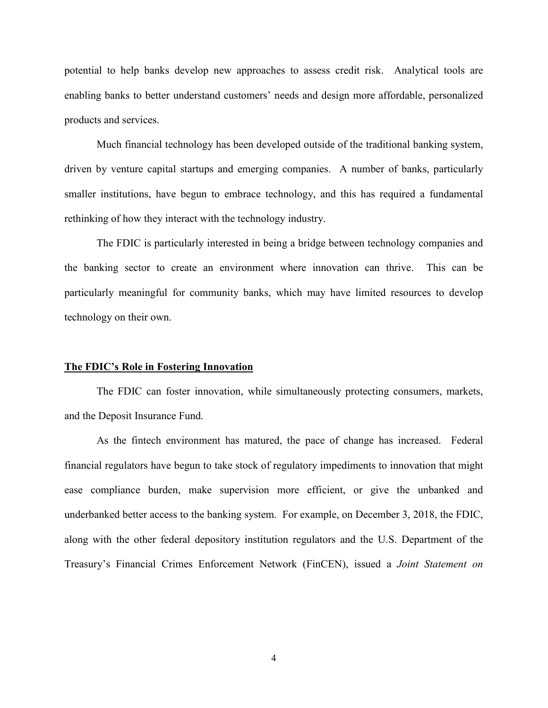potential to help banks develop new approaches to assess credit risk. Analytical tools are enabling banks to better understand customers' needs and design more affordable, personalized products and services.

Much financial technology has been developed outside of the traditional banking system, driven by venture capital startups and emerging companies. A number of banks, particularly smaller institutions, have begun to embrace technology, and this has required a fundamental rethinking of how they interact with the technology industry.

The FDIC is particularly interested in being a bridge between technology companies and the banking sector to create an environment where innovation can thrive. This can be particularly meaningful for community banks, which may have limited resources to develop technology on their own.

#### **The FDIC's Role in Fostering Innovation**

The FDIC can foster innovation, while simultaneously protecting consumers, markets, and the Deposit Insurance Fund.

As the fintech environment has matured, the pace of change has increased. Federal financial regulators have begun to take stock of regulatory impediments to innovation that might ease compliance burden, make supervision more efficient, or give the unbanked and underbanked better access to the banking system. For example, on December 3, 2018, the FDIC, along with the other federal depository institution regulators and the U.S. Department of the Treasury's Financial Crimes Enforcement Network (FinCEN), issued a *Joint Statement on*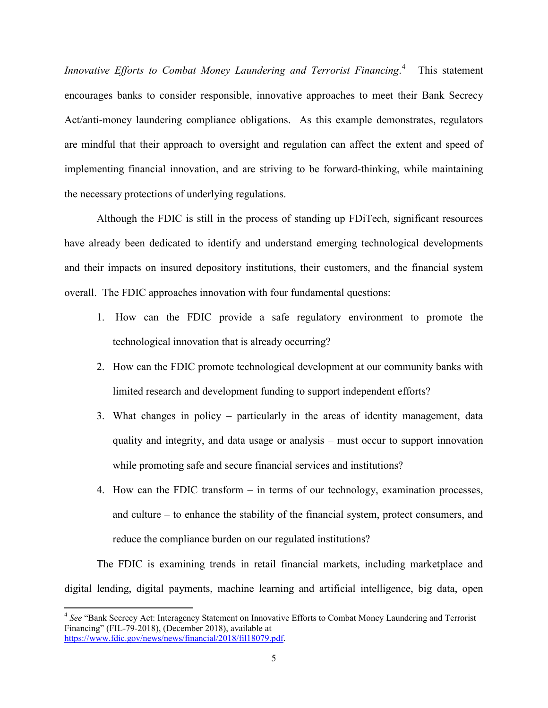*Innovative Efforts to Combat Money Laundering and Terrorist Financing*. [4](#page-5-0) This statement encourages banks to consider responsible, innovative approaches to meet their Bank Secrecy Act/anti-money laundering compliance obligations. As this example demonstrates, regulators are mindful that their approach to oversight and regulation can affect the extent and speed of implementing financial innovation, and are striving to be forward-thinking, while maintaining the necessary protections of underlying regulations.

Although the FDIC is still in the process of standing up FDiTech, significant resources have already been dedicated to identify and understand emerging technological developments and their impacts on insured depository institutions, their customers, and the financial system overall. The FDIC approaches innovation with four fundamental questions:

- 1. How can the FDIC provide a safe regulatory environment to promote the technological innovation that is already occurring?
- 2. How can the FDIC promote technological development at our community banks with limited research and development funding to support independent efforts?
- 3. What changes in policy particularly in the areas of identity management, data quality and integrity, and data usage or analysis – must occur to support innovation while promoting safe and secure financial services and institutions?
- 4. How can the FDIC transform in terms of our technology, examination processes, and culture – to enhance the stability of the financial system, protect consumers, and reduce the compliance burden on our regulated institutions?

The FDIC is examining trends in retail financial markets, including marketplace and digital lending, digital payments, machine learning and artificial intelligence, big data, open

<span id="page-5-0"></span><sup>4</sup> *See* "Bank Secrecy Act: Interagency Statement on Innovative Efforts to Combat Money Laundering and Terrorist Financing" (FIL-79-2018), (December 2018), available at [https://www.fdic.gov/news/news/financial/2018/fil18079.pdf.](https://www.fdic.gov/news/news/financial/2018/fil18079.pdf)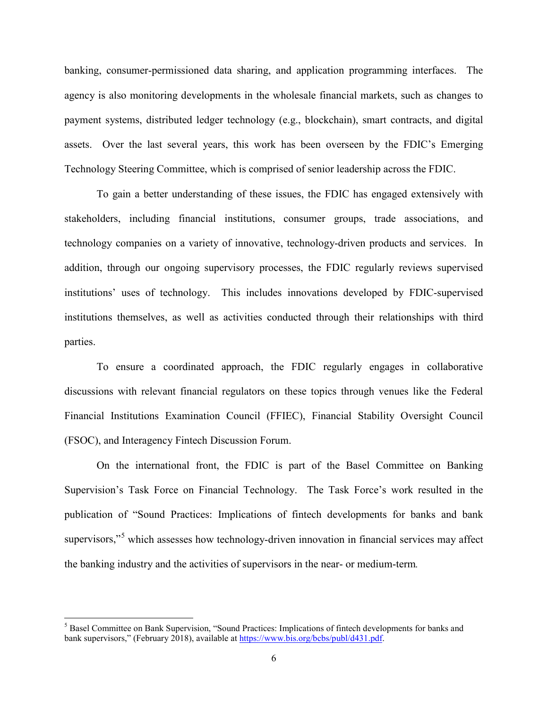banking, consumer-permissioned data sharing, and application programming interfaces. The agency is also monitoring developments in the wholesale financial markets, such as changes to payment systems, distributed ledger technology (e.g., blockchain), smart contracts, and digital assets. Over the last several years, this work has been overseen by the FDIC's Emerging Technology Steering Committee, which is comprised of senior leadership across the FDIC.

To gain a better understanding of these issues, the FDIC has engaged extensively with stakeholders, including financial institutions, consumer groups, trade associations, and technology companies on a variety of innovative, technology-driven products and services. In addition, through our ongoing supervisory processes, the FDIC regularly reviews supervised institutions' uses of technology. This includes innovations developed by FDIC-supervised institutions themselves, as well as activities conducted through their relationships with third parties.

To ensure a coordinated approach, the FDIC regularly engages in collaborative discussions with relevant financial regulators on these topics through venues like the Federal Financial Institutions Examination Council (FFIEC), Financial Stability Oversight Council (FSOC), and Interagency Fintech Discussion Forum.

On the international front, the FDIC is part of the Basel Committee on Banking Supervision's Task Force on Financial Technology. The Task Force's work resulted in the publication of "Sound Practices: Implications of fintech developments for banks and bank supervisors,"<sup>[5](#page-6-0)</sup> which assesses how technology-driven innovation in financial services may affect the banking industry and the activities of supervisors in the near- or medium-term*.*

<span id="page-6-0"></span><sup>&</sup>lt;sup>5</sup> Basel Committee on Bank Supervision, "Sound Practices: Implications of fintech developments for banks and bank supervisors," (February 2018), available at [https://www.bis.org/bcbs/publ/d431.pdf.](https://www.bis.org/bcbs/publ/d431.pdf)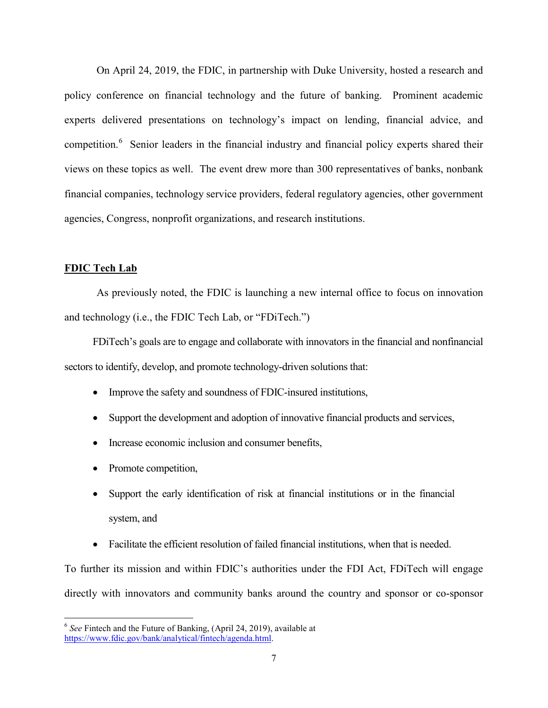On April 24, 2019, the FDIC, in partnership with Duke University, hosted a research and policy conference on financial technology and the future of banking. Prominent academic experts delivered presentations on technology's impact on lending, financial advice, and competition.<sup>[6](#page-7-0)</sup> Senior leaders in the financial industry and financial policy experts shared their views on these topics as well. The event drew more than 300 representatives of banks, nonbank financial companies, technology service providers, federal regulatory agencies, other government agencies, Congress, nonprofit organizations, and research institutions.

## **FDIC Tech Lab**

As previously noted, the FDIC is launching a new internal office to focus on innovation and technology (i.e., the FDIC Tech Lab, or "FDiTech.")

FDiTech's goals are to engage and collaborate with innovators in the financial and nonfinancial sectors to identify, develop, and promote technology-driven solutions that:

- Improve the safety and soundness of FDIC-insured institutions,
- Support the development and adoption of innovative financial products and services,
- Increase economic inclusion and consumer benefits,
- Promote competition,
- Support the early identification of risk at financial institutions or in the financial system, and
- Facilitate the efficient resolution of failed financial institutions, when that is needed.

To further its mission and within FDIC's authorities under the FDI Act, FDiTech will engage directly with innovators and community banks around the country and sponsor or co-sponsor

<span id="page-7-0"></span><sup>6</sup> *See* Fintech and the Future of Banking, (April 24, 2019), available at [https://www.fdic.gov/bank/analytical/fintech/agenda.html.](https://www.fdic.gov/bank/analytical/fintech/agenda.html)